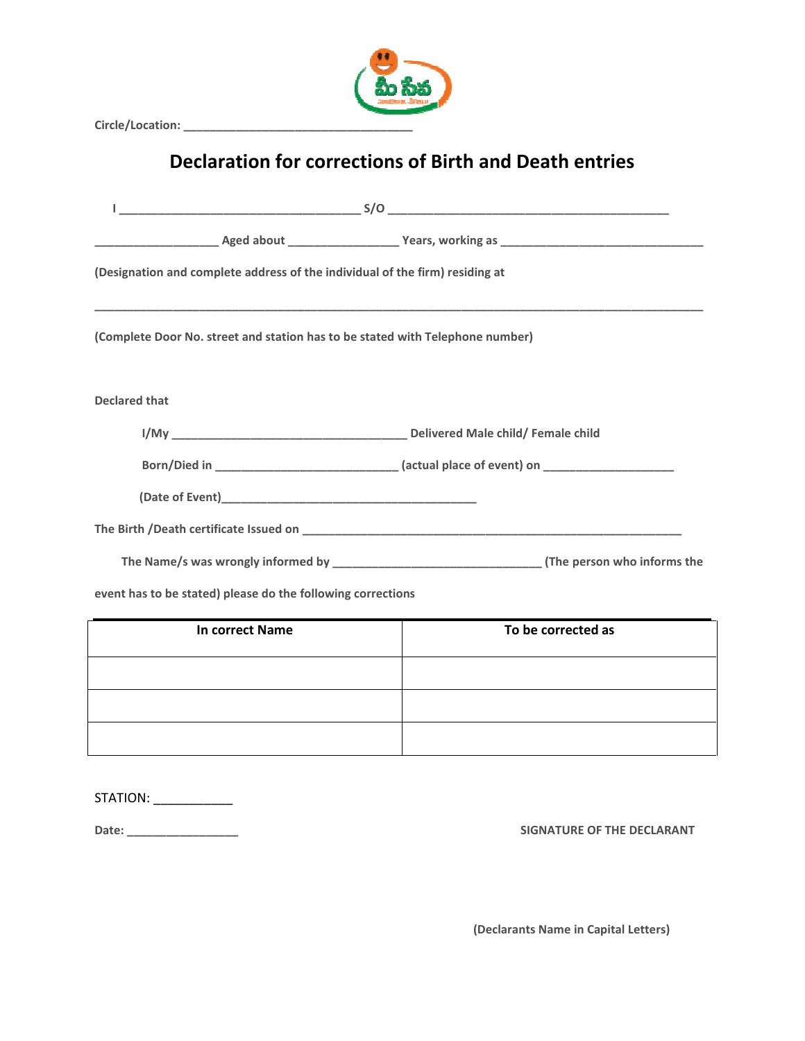

Circle/Location: \_\_\_\_\_\_\_\_\_\_\_\_\_\_\_\_\_\_\_\_\_\_\_\_\_\_\_\_\_\_\_\_\_\_\_

## Declaration for corrections of Birth and Death entries

| (Designation and complete address of the individual of the firm) residing at  |                                                                                                     |  |
|-------------------------------------------------------------------------------|-----------------------------------------------------------------------------------------------------|--|
| (Complete Door No. street and station has to be stated with Telephone number) |                                                                                                     |  |
| <b>Declared that</b>                                                          |                                                                                                     |  |
|                                                                               |                                                                                                     |  |
|                                                                               | Born/Died in _________________________________ (actual place of event) on _________________________ |  |
|                                                                               |                                                                                                     |  |
|                                                                               |                                                                                                     |  |
|                                                                               |                                                                                                     |  |
| event has to be stated) please do the following corrections                   |                                                                                                     |  |
| <b>In correct Name</b>                                                        | To be corrected as                                                                                  |  |
|                                                                               |                                                                                                     |  |
|                                                                               |                                                                                                     |  |
|                                                                               |                                                                                                     |  |
|                                                                               |                                                                                                     |  |
| STATION: _____________                                                        |                                                                                                     |  |
| Date:                                                                         | SIGNATURE OF THE DECLARANT                                                                          |  |

| STATION: |  |
|----------|--|
|          |  |
| Date:    |  |

SIGNATURE OF THE DECLARANT

(Declarants Name in Capital Letters)